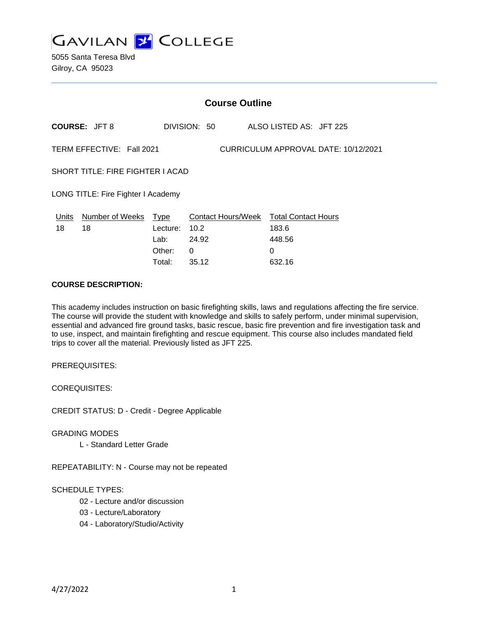

|                                                                   | <b>Course Outline</b>                   |          |              |                                        |  |
|-------------------------------------------------------------------|-----------------------------------------|----------|--------------|----------------------------------------|--|
|                                                                   | <b>COURSE: JFT 8</b>                    |          | DIVISION: 50 | ALSO LISTED AS: JFT 225                |  |
| TERM EFFECTIVE: Fall 2021<br>CURRICULUM APPROVAL DATE: 10/12/2021 |                                         |          |              |                                        |  |
|                                                                   | <b>SHORT TITLE: FIRE FIGHTER I ACAD</b> |          |              |                                        |  |
|                                                                   | LONG TITLE: Fire Fighter I Academy      |          |              |                                        |  |
| Units                                                             | Number of Weeks                         | Type     |              | Contact Hours/Week Total Contact Hours |  |
| 18                                                                | 18                                      | Lecture: | 10.2         | 183.6                                  |  |
|                                                                   |                                         | Lab:     | 24.92        | 448.56                                 |  |
|                                                                   |                                         | Other:   | 0            | $\Omega$                               |  |
|                                                                   |                                         | Total:   | 35.12        | 632.16                                 |  |

#### **COURSE DESCRIPTION:**

This academy includes instruction on basic firefighting skills, laws and regulations affecting the fire service. The course will provide the student with knowledge and skills to safely perform, under minimal supervision, essential and advanced fire ground tasks, basic rescue, basic fire prevention and fire investigation task and to use, inspect, and maintain firefighting and rescue equipment. This course also includes mandated field trips to cover all the material. Previously listed as JFT 225.

PREREQUISITES:

COREQUISITES:

CREDIT STATUS: D - Credit - Degree Applicable

GRADING MODES

L - Standard Letter Grade

REPEATABILITY: N - Course may not be repeated

## SCHEDULE TYPES:

- 02 Lecture and/or discussion
- 03 Lecture/Laboratory
- 04 Laboratory/Studio/Activity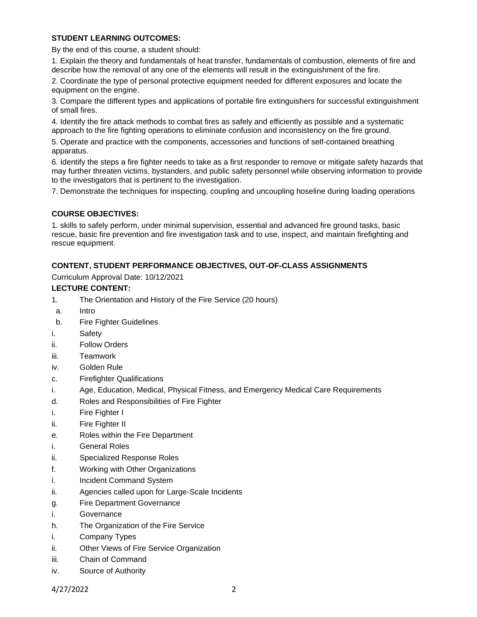## **STUDENT LEARNING OUTCOMES:**

By the end of this course, a student should:

1. Explain the theory and fundamentals of heat transfer, fundamentals of combustion, elements of fire and describe how the removal of any one of the elements will result in the extinguishment of the fire.

2. Coordinate the type of personal protective equipment needed for different exposures and locate the equipment on the engine.

3. Compare the different types and applications of portable fire extinguishers for successful extinguishment of small fires.

4. Identify the fire attack methods to combat fires as safely and efficiently as possible and a systematic approach to the fire fighting operations to eliminate confusion and inconsistency on the fire ground.

5. Operate and practice with the components, accessories and functions of self-contained breathing apparatus.

6. Identify the steps a fire fighter needs to take as a first responder to remove or mitigate safety hazards that may further threaten victims, bystanders, and public safety personnel while observing information to provide to the investigators that is pertinent to the investigation.

7. Demonstrate the techniques for inspecting, coupling and uncoupling hoseline during loading operations

# **COURSE OBJECTIVES:**

1. skills to safely perform, under minimal supervision, essential and advanced fire ground tasks, basic rescue, basic fire prevention and fire investigation task and to use, inspect, and maintain firefighting and rescue equipment.

# **CONTENT, STUDENT PERFORMANCE OBJECTIVES, OUT-OF-CLASS ASSIGNMENTS**

Curriculum Approval Date: 10/12/2021

## **LECTURE CONTENT:**

- 1. The Orientation and History of the Fire Service (20 hours)
- a. Intro
- b. Fire Fighter Guidelines
- i. Safety
- ii. Follow Orders
- iii. Teamwork
- iv. Golden Rule
- c. Firefighter Qualifications
- i. Age, Education, Medical, Physical Fitness, and Emergency Medical Care Requirements
- d. Roles and Responsibilities of Fire Fighter
- i. Fire Fighter I
- ii. Fire Fighter II
- e. Roles within the Fire Department
- i. General Roles
- ii. Specialized Response Roles
- f. Working with Other Organizations
- i. Incident Command System
- ii. Agencies called upon for Large-Scale Incidents
- g. Fire Department Governance
- i. Governance
- h. The Organization of the Fire Service
- i. Company Types
- ii. Other Views of Fire Service Organization
- iii. Chain of Command
- iv. Source of Authority

4/27/2022 2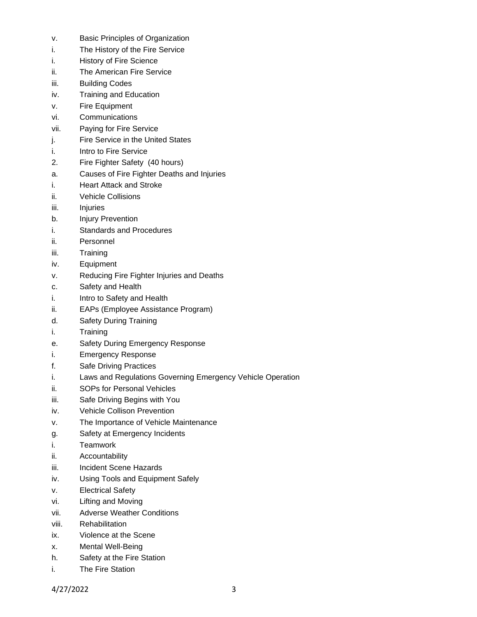- v. Basic Principles of Organization
- i. The History of the Fire Service
- i. History of Fire Science
- ii. The American Fire Service
- iii. Building Codes
- iv. Training and Education
- v. Fire Equipment
- vi. Communications
- vii. Paying for Fire Service
- j. Fire Service in the United States
- i. Intro to Fire Service
- 2. Fire Fighter Safety (40 hours)
- a. Causes of Fire Fighter Deaths and Injuries
- i. Heart Attack and Stroke
- ii. Vehicle Collisions
- iii. Injuries
- b. Injury Prevention
- i. Standards and Procedures
- ii. Personnel
- iii. Training
- iv. Equipment
- v. Reducing Fire Fighter Injuries and Deaths
- c. Safety and Health
- i. Intro to Safety and Health
- ii. EAPs (Employee Assistance Program)
- d. Safety During Training
- i. Training
- e. Safety During Emergency Response
- i. Emergency Response
- f. Safe Driving Practices
- i. Laws and Regulations Governing Emergency Vehicle Operation
- ii. SOPs for Personal Vehicles
- iii. Safe Driving Begins with You
- iv. Vehicle Collison Prevention
- v. The Importance of Vehicle Maintenance
- g. Safety at Emergency Incidents
- i. Teamwork
- ii. Accountability
- iii. Incident Scene Hazards
- iv. Using Tools and Equipment Safely
- v. Electrical Safety
- vi. Lifting and Moving
- vii. Adverse Weather Conditions
- viii. Rehabilitation
- ix. Violence at the Scene
- x. Mental Well-Being
- h. Safety at the Fire Station
- i. The Fire Station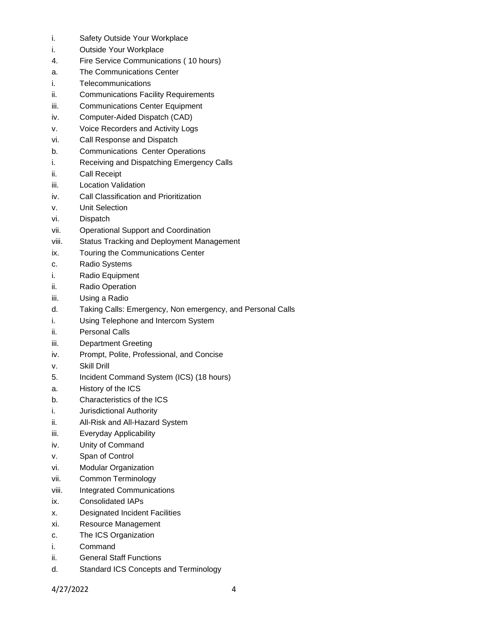- i. Safety Outside Your Workplace
- i. Outside Your Workplace
- 4. Fire Service Communications ( 10 hours)
- a. The Communications Center
- i. Telecommunications
- ii. Communications Facility Requirements
- iii. Communications Center Equipment
- iv. Computer-Aided Dispatch (CAD)
- v. Voice Recorders and Activity Logs
- vi. Call Response and Dispatch
- b. Communications Center Operations
- i. Receiving and Dispatching Emergency Calls
- ii. Call Receipt
- iii. Location Validation
- iv. Call Classification and Prioritization
- v. Unit Selection
- vi. Dispatch
- vii. Operational Support and Coordination
- viii. Status Tracking and Deployment Management
- ix. Touring the Communications Center
- c. Radio Systems
- i. Radio Equipment
- ii. Radio Operation
- iii. Using a Radio
- d. Taking Calls: Emergency, Non emergency, and Personal Calls
- i. Using Telephone and Intercom System
- ii. Personal Calls
- iii. Department Greeting
- iv. Prompt, Polite, Professional, and Concise
- v. Skill Drill
- 5. Incident Command System (ICS) (18 hours)
- a. History of the ICS
- b. Characteristics of the ICS
- i. Jurisdictional Authority
- ii. All-Risk and All-Hazard System
- iii. Everyday Applicability
- iv. Unity of Command
- v. Span of Control
- vi. Modular Organization
- vii. Common Terminology
- viii. Integrated Communications
- ix. Consolidated IAPs
- x. Designated Incident Facilities
- xi. Resource Management
- c. The ICS Organization
- i. Command
- ii. General Staff Functions
- d. Standard ICS Concepts and Terminology

4/27/2022 4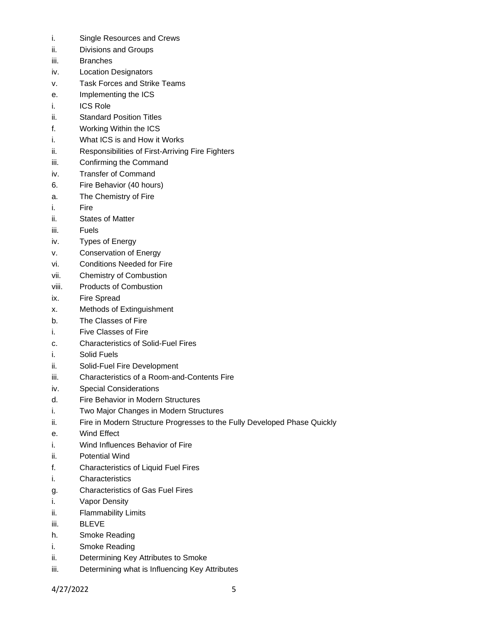- i. Single Resources and Crews
- ii. Divisions and Groups
- iii. Branches
- iv. Location Designators
- v. Task Forces and Strike Teams
- e. Implementing the ICS
- i. ICS Role
- ii. Standard Position Titles
- f. Working Within the ICS
- i. What ICS is and How it Works
- ii. Responsibilities of First-Arriving Fire Fighters
- iii. Confirming the Command
- iv. Transfer of Command
- 6. Fire Behavior (40 hours)
- a. The Chemistry of Fire
- i. Fire
- ii. States of Matter
- iii. Fuels
- iv. Types of Energy
- v. Conservation of Energy
- vi. Conditions Needed for Fire
- vii. Chemistry of Combustion
- viii. Products of Combustion
- ix. Fire Spread
- x. Methods of Extinguishment
- b. The Classes of Fire
- i. Five Classes of Fire
- c. Characteristics of Solid-Fuel Fires
- i. Solid Fuels
- ii. Solid-Fuel Fire Development
- iii. Characteristics of a Room-and-Contents Fire
- iv. Special Considerations
- d. Fire Behavior in Modern Structures
- i. Two Major Changes in Modern Structures
- ii. Fire in Modern Structure Progresses to the Fully Developed Phase Quickly
- e. Wind Effect
- i. Wind Influences Behavior of Fire
- ii. Potential Wind
- f. Characteristics of Liquid Fuel Fires
- i. Characteristics
- g. Characteristics of Gas Fuel Fires
- i. Vapor Density
- ii. Flammability Limits
- iii. BLEVE
- h. Smoke Reading
- i. Smoke Reading
- ii. Determining Key Attributes to Smoke
- iii. Determining what is Influencing Key Attributes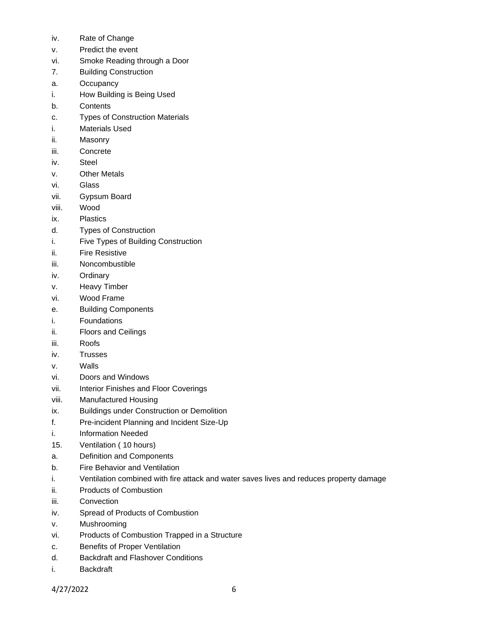- iv. Rate of Change
- v. Predict the event
- vi. Smoke Reading through a Door
- 7. Building Construction
- a. Occupancy
- i. How Building is Being Used
- b. Contents
- c. Types of Construction Materials
- i. Materials Used
- ii. Masonry
- iii. Concrete
- iv. Steel
- v. Other Metals
- vi. Glass
- vii. Gypsum Board
- viii. Wood
- ix. Plastics
- d. Types of Construction
- i. Five Types of Building Construction
- ii. Fire Resistive
- iii. Noncombustible
- iv. Ordinary
- v. Heavy Timber
- vi. Wood Frame
- e. Building Components
- i. Foundations
- ii. Floors and Ceilings
- iii. Roofs
- iv. Trusses
- v. Walls
- vi. Doors and Windows
- vii. Interior Finishes and Floor Coverings
- viii. Manufactured Housing
- ix. Buildings under Construction or Demolition
- f. Pre-incident Planning and Incident Size-Up
- i. Information Needed
- 15. Ventilation ( 10 hours)
- a. Definition and Components
- b. Fire Behavior and Ventilation
- i. Ventilation combined with fire attack and water saves lives and reduces property damage
- ii. Products of Combustion
- iii. Convection
- iv. Spread of Products of Combustion
- v. Mushrooming
- vi. Products of Combustion Trapped in a Structure
- c. Benefits of Proper Ventilation
- d. Backdraft and Flashover Conditions
- i. Backdraft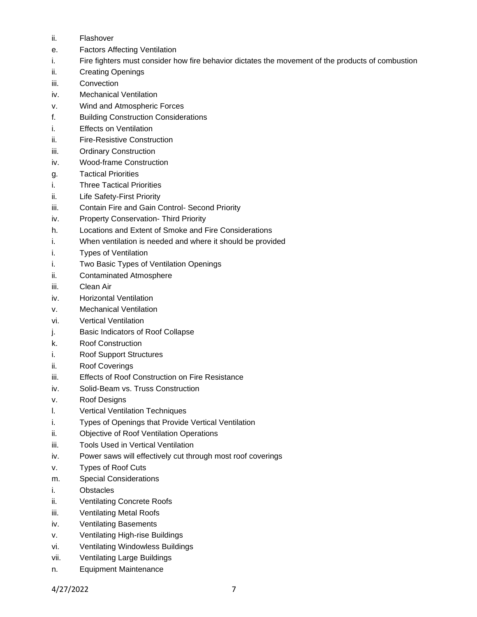- ii. Flashover
- e. Factors Affecting Ventilation
- i. Fire fighters must consider how fire behavior dictates the movement of the products of combustion
- ii. Creating Openings
- iii. Convection
- iv. Mechanical Ventilation
- v. Wind and Atmospheric Forces
- f. Building Construction Considerations
- i. Effects on Ventilation
- ii. Fire-Resistive Construction
- iii. Ordinary Construction
- iv. Wood-frame Construction
- g. Tactical Priorities
- i. Three Tactical Priorities
- ii. Life Safety-First Priority
- iii. Contain Fire and Gain Control- Second Priority
- iv. Property Conservation- Third Priority
- h. Locations and Extent of Smoke and Fire Considerations
- i. When ventilation is needed and where it should be provided
- i. Types of Ventilation
- i. Two Basic Types of Ventilation Openings
- ii. Contaminated Atmosphere
- iii. Clean Air
- iv. Horizontal Ventilation
- v. Mechanical Ventilation
- vi. Vertical Ventilation
- j. Basic Indicators of Roof Collapse
- k. Roof Construction
- i. Roof Support Structures
- ii. Roof Coverings
- iii. Effects of Roof Construction on Fire Resistance
- iv. Solid-Beam vs. Truss Construction
- v. Roof Designs
- l. Vertical Ventilation Techniques
- i. Types of Openings that Provide Vertical Ventilation
- ii. Objective of Roof Ventilation Operations
- iii. Tools Used in Vertical Ventilation
- iv. Power saws will effectively cut through most roof coverings
- v. Types of Roof Cuts
- m. Special Considerations
- i. Obstacles
- ii. Ventilating Concrete Roofs
- iii. Ventilating Metal Roofs
- iv. Ventilating Basements
- v. Ventilating High-rise Buildings
- vi. Ventilating Windowless Buildings
- vii. Ventilating Large Buildings
- n. Equipment Maintenance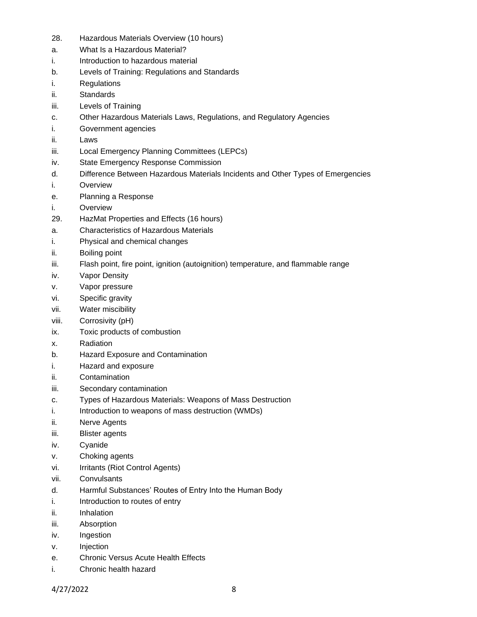- 28. Hazardous Materials Overview (10 hours)
- a. What Is a Hazardous Material?
- i. Introduction to hazardous material
- b. Levels of Training: Regulations and Standards
- i. Regulations
- ii. Standards
- iii. Levels of Training
- c. Other Hazardous Materials Laws, Regulations, and Regulatory Agencies
- i. Government agencies
- ii. Laws
- iii. Local Emergency Planning Committees (LEPCs)
- iv. State Emergency Response Commission
- d. Difference Between Hazardous Materials Incidents and Other Types of Emergencies
- i. Overview
- e. Planning a Response
- i. Overview
- 29. HazMat Properties and Effects (16 hours)
- a. Characteristics of Hazardous Materials
- i. Physical and chemical changes
- ii. Boiling point
- iii. Flash point, fire point, ignition (autoignition) temperature, and flammable range
- iv. Vapor Density
- v. Vapor pressure
- vi. Specific gravity
- vii. Water miscibility
- viii. Corrosivity (pH)
- ix. Toxic products of combustion
- x. Radiation
- b. Hazard Exposure and Contamination
- i. Hazard and exposure
- ii. Contamination
- iii. Secondary contamination
- c. Types of Hazardous Materials: Weapons of Mass Destruction
- i. Introduction to weapons of mass destruction (WMDs)
- ii. Nerve Agents
- iii. Blister agents
- iv. Cyanide
- v. Choking agents
- vi. Irritants (Riot Control Agents)
- vii. Convulsants
- d. Harmful Substances' Routes of Entry Into the Human Body
- i. Introduction to routes of entry
- ii. Inhalation
- iii. Absorption
- iv. Ingestion
- v. Injection
- e. Chronic Versus Acute Health Effects
- i. Chronic health hazard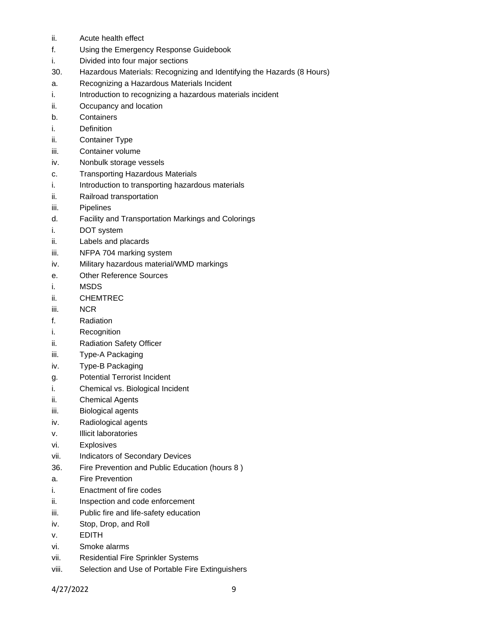- ii. Acute health effect
- f. Using the Emergency Response Guidebook
- i. Divided into four major sections
- 30. Hazardous Materials: Recognizing and Identifying the Hazards (8 Hours)
- a. Recognizing a Hazardous Materials Incident
- i. Introduction to recognizing a hazardous materials incident
- ii. Occupancy and location
- b. Containers
- i. Definition
- ii. Container Type
- iii. Container volume
- iv. Nonbulk storage vessels
- c. Transporting Hazardous Materials
- i. Introduction to transporting hazardous materials
- ii. Railroad transportation
- iii. Pipelines
- d. Facility and Transportation Markings and Colorings
- i. DOT system
- ii. Labels and placards
- iii. NFPA 704 marking system
- iv. Military hazardous material/WMD markings
- e. Other Reference Sources
- i. MSDS
- ii. CHEMTREC
- iii. NCR
- f. Radiation
- i. Recognition
- ii. Radiation Safety Officer
- iii. Type-A Packaging
- iv. Type-B Packaging
- g. Potential Terrorist Incident
- i. Chemical vs. Biological Incident
- ii. Chemical Agents
- iii. Biological agents
- iv. Radiological agents
- v. Illicit laboratories
- vi. Explosives
- vii. Indicators of Secondary Devices
- 36. Fire Prevention and Public Education (hours 8 )
- a. Fire Prevention
- i. Enactment of fire codes
- ii. Inspection and code enforcement
- iii. Public fire and life-safety education
- iv. Stop, Drop, and Roll
- v. EDITH
- vi. Smoke alarms
- vii. Residential Fire Sprinkler Systems
- viii. Selection and Use of Portable Fire Extinguishers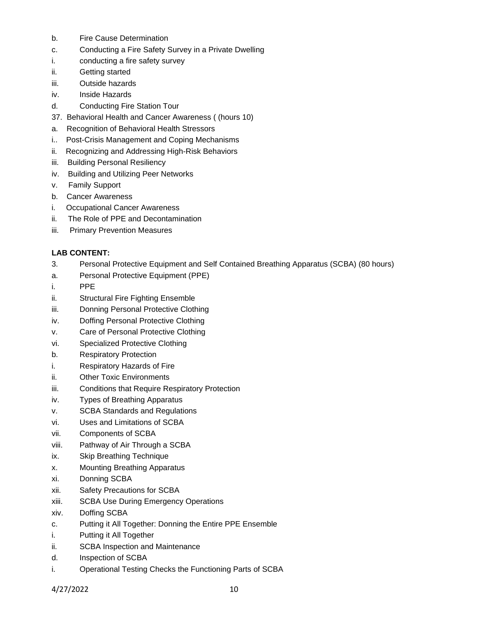- b. Fire Cause Determination
- c. Conducting a Fire Safety Survey in a Private Dwelling
- i. conducting a fire safety survey
- ii. Getting started
- iii. Outside hazards
- iv. Inside Hazards
- d. Conducting Fire Station Tour
- 37. Behavioral Health and Cancer Awareness ( (hours 10)
- a. Recognition of Behavioral Health Stressors
- i.. Post-Crisis Management and Coping Mechanisms
- ii. Recognizing and Addressing High-Risk Behaviors
- iii. Building Personal Resiliency
- iv. Building and Utilizing Peer Networks
- v. Family Support
- b. Cancer Awareness
- i. Occupational Cancer Awareness
- ii. The Role of PPE and Decontamination
- iii. Primary Prevention Measures

# **LAB CONTENT:**

- 3. Personal Protective Equipment and Self Contained Breathing Apparatus (SCBA) (80 hours)
- a. Personal Protective Equipment (PPE)
- i. PPE
- ii. Structural Fire Fighting Ensemble
- iii. Donning Personal Protective Clothing
- iv. Doffing Personal Protective Clothing
- v. Care of Personal Protective Clothing
- vi. Specialized Protective Clothing
- b. Respiratory Protection
- i. Respiratory Hazards of Fire
- ii. Other Toxic Environments
- iii. Conditions that Require Respiratory Protection
- iv. Types of Breathing Apparatus
- v. SCBA Standards and Regulations
- vi. Uses and Limitations of SCBA
- vii. Components of SCBA
- viii. Pathway of Air Through a SCBA
- ix. Skip Breathing Technique
- x. Mounting Breathing Apparatus
- xi. Donning SCBA
- xii. Safety Precautions for SCBA
- xiii. SCBA Use During Emergency Operations
- xiv. Doffing SCBA
- c. Putting it All Together: Donning the Entire PPE Ensemble
- i. Putting it All Together
- ii. SCBA Inspection and Maintenance
- d. Inspection of SCBA
- i. Operational Testing Checks the Functioning Parts of SCBA

4/27/2022 10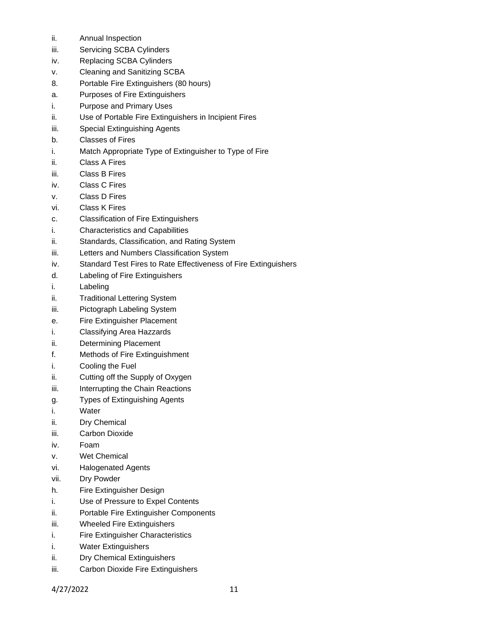- ii. Annual Inspection
- iii. Servicing SCBA Cylinders
- iv. Replacing SCBA Cylinders
- v. Cleaning and Sanitizing SCBA
- 8. Portable Fire Extinguishers (80 hours)
- a. Purposes of Fire Extinguishers
- i. Purpose and Primary Uses
- ii. Use of Portable Fire Extinguishers in Incipient Fires
- iii. Special Extinguishing Agents
- b. Classes of Fires
- i. Match Appropriate Type of Extinguisher to Type of Fire
- ii. Class A Fires
- iii. Class B Fires
- iv. Class C Fires
- v. Class D Fires
- vi. Class K Fires
- c. Classification of Fire Extinguishers
- i. Characteristics and Capabilities
- ii. Standards, Classification, and Rating System
- iii. Letters and Numbers Classification System
- iv. Standard Test Fires to Rate Effectiveness of Fire Extinguishers
- d. Labeling of Fire Extinguishers
- i. Labeling
- ii. Traditional Lettering System
- iii. Pictograph Labeling System
- e. Fire Extinguisher Placement
- i. Classifying Area Hazzards
- ii. Determining Placement
- f. Methods of Fire Extinguishment
- i. Cooling the Fuel
- ii. Cutting off the Supply of Oxygen
- iii. Interrupting the Chain Reactions
- g. Types of Extinguishing Agents
- i. Water
- ii. Dry Chemical
- iii. Carbon Dioxide
- iv. Foam
- v. Wet Chemical
- vi. Halogenated Agents
- vii. Dry Powder
- h. Fire Extinguisher Design
- i. Use of Pressure to Expel Contents
- ii. Portable Fire Extinguisher Components
- iii. Wheeled Fire Extinguishers
- i. Fire Extinguisher Characteristics
- i. Water Extinguishers
- ii. Dry Chemical Extinguishers
- iii. Carbon Dioxide Fire Extinguishers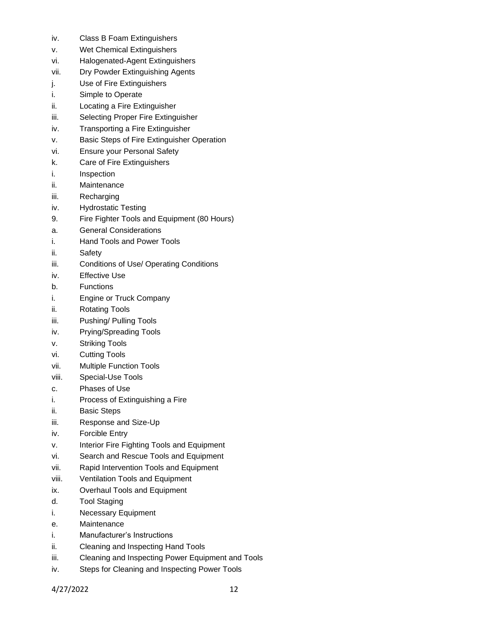- iv. Class B Foam Extinguishers
- v. Wet Chemical Extinguishers
- vi. Halogenated-Agent Extinguishers
- vii. Dry Powder Extinguishing Agents
- j. Use of Fire Extinguishers
- i. Simple to Operate
- ii. Locating a Fire Extinguisher
- iii. Selecting Proper Fire Extinguisher
- iv. Transporting a Fire Extinguisher
- v. Basic Steps of Fire Extinguisher Operation
- vi. Ensure your Personal Safety
- k. Care of Fire Extinguishers
- i. Inspection
- ii. Maintenance
- iii. Recharging
- iv. Hydrostatic Testing
- 9. Fire Fighter Tools and Equipment (80 Hours)
- a. General Considerations
- i. Hand Tools and Power Tools
- ii. Safety
- iii. Conditions of Use/ Operating Conditions
- iv. Effective Use
- b. Functions
- i. Engine or Truck Company
- ii. Rotating Tools
- iii. Pushing/ Pulling Tools
- iv. Prying/Spreading Tools
- v. Striking Tools
- vi. Cutting Tools
- vii. Multiple Function Tools
- viii. Special-Use Tools
- c. Phases of Use
- i. Process of Extinguishing a Fire
- ii. Basic Steps
- iii. Response and Size-Up
- iv. Forcible Entry
- v. Interior Fire Fighting Tools and Equipment
- vi. Search and Rescue Tools and Equipment
- vii. Rapid Intervention Tools and Equipment
- viii. Ventilation Tools and Equipment
- ix. Overhaul Tools and Equipment
- d. Tool Staging
- i. Necessary Equipment
- e. Maintenance
- i. Manufacturer's Instructions
- ii. Cleaning and Inspecting Hand Tools
- iii. Cleaning and Inspecting Power Equipment and Tools
- iv. Steps for Cleaning and Inspecting Power Tools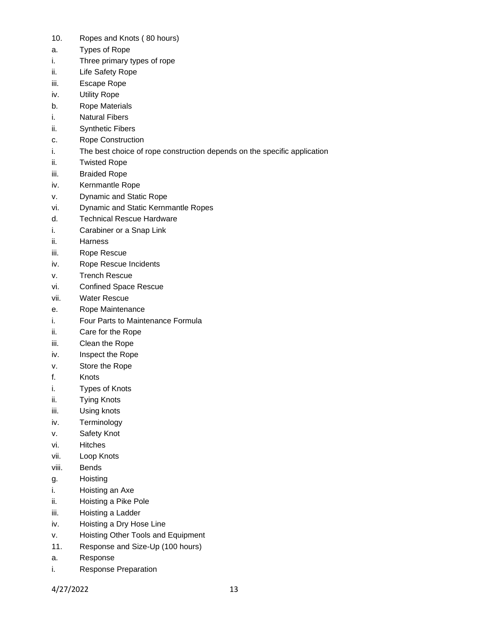- 10. Ropes and Knots ( 80 hours)
- a. Types of Rope
- i. Three primary types of rope
- ii. Life Safety Rope
- iii. Escape Rope
- iv. Utility Rope
- b. Rope Materials
- i. Natural Fibers
- ii. Synthetic Fibers
- c. Rope Construction
- i. The best choice of rope construction depends on the specific application
- ii. Twisted Rope
- iii. Braided Rope
- iv. Kernmantle Rope
- v. Dynamic and Static Rope
- vi. Dynamic and Static Kernmantle Ropes
- d. Technical Rescue Hardware
- i. Carabiner or a Snap Link
- ii. Harness
- iii. Rope Rescue
- iv. Rope Rescue Incidents
- v. Trench Rescue
- vi. Confined Space Rescue
- vii. Water Rescue
- e. Rope Maintenance
- i. Four Parts to Maintenance Formula
- ii. Care for the Rope
- iii. Clean the Rope
- iv. Inspect the Rope
- v. Store the Rope
- f. Knots
- i. Types of Knots
- ii. Tying Knots
- iii. Using knots
- iv. Terminology
- v. Safety Knot
- vi. Hitches
- vii. Loop Knots
- viii. Bends
- g. Hoisting
- i. Hoisting an Axe
- ii. Hoisting a Pike Pole
- iii. Hoisting a Ladder
- iv. Hoisting a Dry Hose Line
- v. Hoisting Other Tools and Equipment
- 11. Response and Size-Up (100 hours)
- a. Response
- i. Response Preparation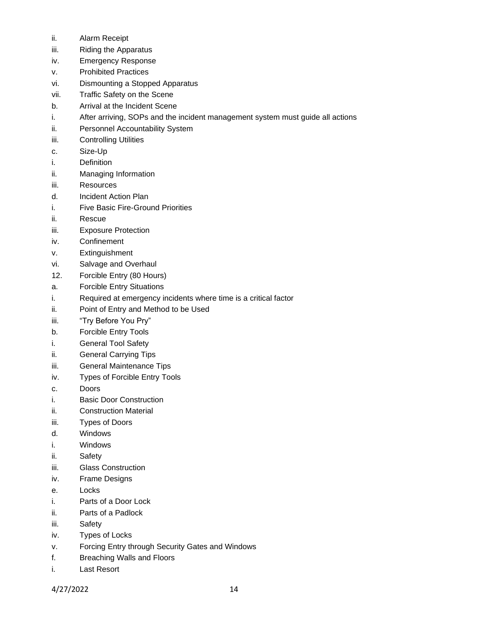- ii. Alarm Receipt
- iii. Riding the Apparatus
- iv. Emergency Response
- v. Prohibited Practices
- vi. Dismounting a Stopped Apparatus
- vii. Traffic Safety on the Scene
- b. Arrival at the Incident Scene
- i. After arriving, SOPs and the incident management system must guide all actions
- ii. Personnel Accountability System
- iii. Controlling Utilities
- c. Size-Up
- i. Definition
- ii. Managing Information
- iii. Resources
- d. Incident Action Plan
- i. Five Basic Fire-Ground Priorities
- ii. Rescue
- iii. Exposure Protection
- iv. Confinement
- v. Extinguishment
- vi. Salvage and Overhaul
- 12. Forcible Entry (80 Hours)
- a. Forcible Entry Situations
- i. Required at emergency incidents where time is a critical factor
- ii. Point of Entry and Method to be Used
- iii. "Try Before You Pry"
- b. Forcible Entry Tools
- i. General Tool Safety
- ii. General Carrying Tips
- iii. General Maintenance Tips
- iv. Types of Forcible Entry Tools
- c. Doors
- i. Basic Door Construction
- ii. Construction Material
- iii. Types of Doors
- d. Windows
- i. Windows
- ii. Safety
- iii. Glass Construction
- iv. Frame Designs
- e. Locks
- i. Parts of a Door Lock
- ii. Parts of a Padlock
- iii. Safety
- iv. Types of Locks
- v. Forcing Entry through Security Gates and Windows
- f. Breaching Walls and Floors
- i. Last Resort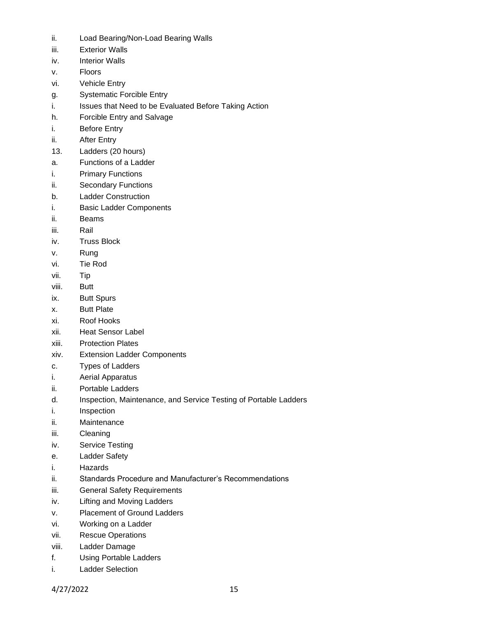- ii. Load Bearing/Non-Load Bearing Walls
- iii. Exterior Walls
- iv. Interior Walls
- v. Floors
- vi. Vehicle Entry
- g. Systematic Forcible Entry
- i. Issues that Need to be Evaluated Before Taking Action
- h. Forcible Entry and Salvage
- i. Before Entry
- ii. After Entry
- 13. Ladders (20 hours)
- a. Functions of a Ladder
- i. Primary Functions
- ii. Secondary Functions
- b. Ladder Construction
- i. Basic Ladder Components
- ii. Beams
- iii. Rail
- iv. Truss Block
- v. Rung
- vi. Tie Rod
- vii. Tip
- viii. Butt
- ix. Butt Spurs
- x. Butt Plate
- xi. Roof Hooks
- xii. Heat Sensor Label
- xiii. Protection Plates
- xiv. Extension Ladder Components
- c. Types of Ladders
- i. Aerial Apparatus
- ii. Portable Ladders
- d. Inspection, Maintenance, and Service Testing of Portable Ladders
- i. Inspection
- ii. Maintenance
- iii. Cleaning
- iv. Service Testing
- e. Ladder Safety
- i. Hazards
- ii. Standards Procedure and Manufacturer's Recommendations
- iii. General Safety Requirements
- iv. Lifting and Moving Ladders
- v. Placement of Ground Ladders
- vi. Working on a Ladder
- vii. Rescue Operations
- viii. Ladder Damage
- f. Using Portable Ladders
- i. Ladder Selection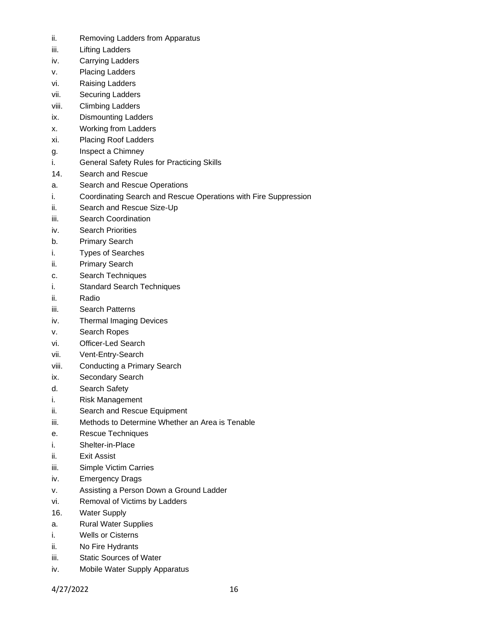- ii. Removing Ladders from Apparatus
- iii. Lifting Ladders
- iv. Carrying Ladders
- v. Placing Ladders
- vi. Raising Ladders
- vii. Securing Ladders
- viii. Climbing Ladders
- ix. Dismounting Ladders
- x. Working from Ladders
- xi. Placing Roof Ladders
- g. Inspect a Chimney
- i. General Safety Rules for Practicing Skills
- 14. Search and Rescue
- a. Search and Rescue Operations
- i. Coordinating Search and Rescue Operations with Fire Suppression
- ii. Search and Rescue Size-Up
- iii. Search Coordination
- iv. Search Priorities
- b. Primary Search
- i. Types of Searches
- ii. Primary Search
- c. Search Techniques
- i. Standard Search Techniques
- ii. Radio
- iii. Search Patterns
- iv. Thermal Imaging Devices
- v. Search Ropes
- vi. Officer-Led Search
- vii. Vent-Entry-Search
- viii. Conducting a Primary Search
- ix. Secondary Search
- d. Search Safety
- i. Risk Management
- ii. Search and Rescue Equipment
- iii. Methods to Determine Whether an Area is Tenable
- e. Rescue Techniques
- i. Shelter-in-Place
- ii. Exit Assist
- iii. Simple Victim Carries
- iv. Emergency Drags
- v. Assisting a Person Down a Ground Ladder
- vi. Removal of Victims by Ladders
- 16. Water Supply
- a. Rural Water Supplies
- i. Wells or Cisterns
- ii. No Fire Hydrants
- iii. Static Sources of Water
- iv. Mobile Water Supply Apparatus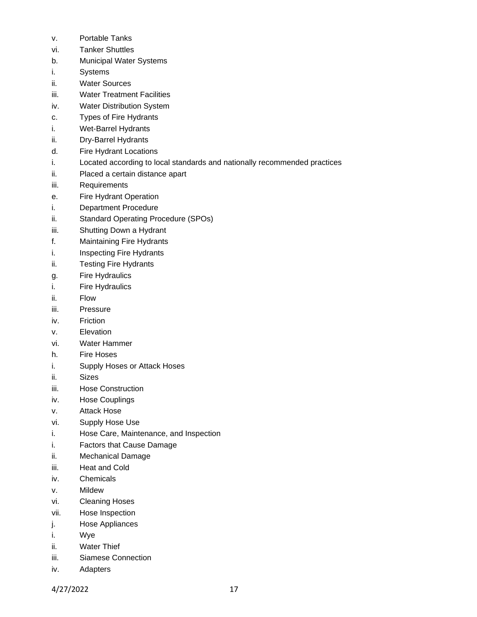- v. Portable Tanks
- vi. Tanker Shuttles
- b. Municipal Water Systems
- i. Systems
- ii. Water Sources
- iii. Water Treatment Facilities
- iv. Water Distribution System
- c. Types of Fire Hydrants
- i. Wet-Barrel Hydrants
- ii. Dry-Barrel Hydrants
- d. Fire Hydrant Locations
- i. Located according to local standards and nationally recommended practices
- ii. Placed a certain distance apart
- iii. Requirements
- e. Fire Hydrant Operation
- i. Department Procedure
- ii. Standard Operating Procedure (SPOs)
- iii. Shutting Down a Hydrant
- f. Maintaining Fire Hydrants
- i. Inspecting Fire Hydrants
- ii. Testing Fire Hydrants
- g. Fire Hydraulics
- i. Fire Hydraulics
- ii. Flow
- iii. Pressure
- iv. Friction
- v. Elevation
- vi. Water Hammer
- h. Fire Hoses
- i. Supply Hoses or Attack Hoses
- ii. Sizes
- iii. Hose Construction
- iv. Hose Couplings
- v. Attack Hose
- vi. Supply Hose Use
- i. Hose Care, Maintenance, and Inspection
- i. Factors that Cause Damage
- ii. Mechanical Damage
- iii. Heat and Cold
- iv. Chemicals
- v. Mildew
- vi. Cleaning Hoses
- vii. Hose Inspection
- j. Hose Appliances
- i. Wye
- ii. Water Thief
- iii. Siamese Connection
- iv. Adapters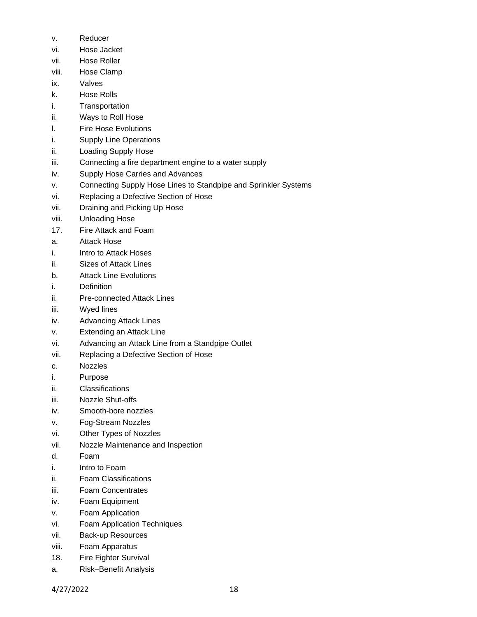- v. Reducer
- vi. Hose Jacket
- vii. Hose Roller
- viii. Hose Clamp
- ix. Valves
- k. Hose Rolls
- i. Transportation
- ii. Ways to Roll Hose
- l. Fire Hose Evolutions
- i. Supply Line Operations
- ii. Loading Supply Hose
- iii. Connecting a fire department engine to a water supply
- iv. Supply Hose Carries and Advances
- v. Connecting Supply Hose Lines to Standpipe and Sprinkler Systems
- vi. Replacing a Defective Section of Hose
- vii. Draining and Picking Up Hose
- viii. Unloading Hose
- 17. Fire Attack and Foam
- a. Attack Hose
- i. Intro to Attack Hoses
- ii. Sizes of Attack Lines
- b. Attack Line Evolutions
- i. Definition
- ii. Pre-connected Attack Lines
- iii. Wyed lines
- iv. Advancing Attack Lines
- v. Extending an Attack Line
- vi. Advancing an Attack Line from a Standpipe Outlet
- vii. Replacing a Defective Section of Hose
- c. Nozzles
- i. Purpose
- ii. Classifications
- iii. Nozzle Shut-offs
- iv. Smooth-bore nozzles
- v. Fog-Stream Nozzles
- vi. Other Types of Nozzles
- vii. Nozzle Maintenance and Inspection
- d. Foam
- i. Intro to Foam
- ii. Foam Classifications
- iii. Foam Concentrates
- iv. Foam Equipment
- v. Foam Application
- vi. Foam Application Techniques
- vii. Back-up Resources
- viii. Foam Apparatus
- 18. Fire Fighter Survival
- a. Risk–Benefit Analysis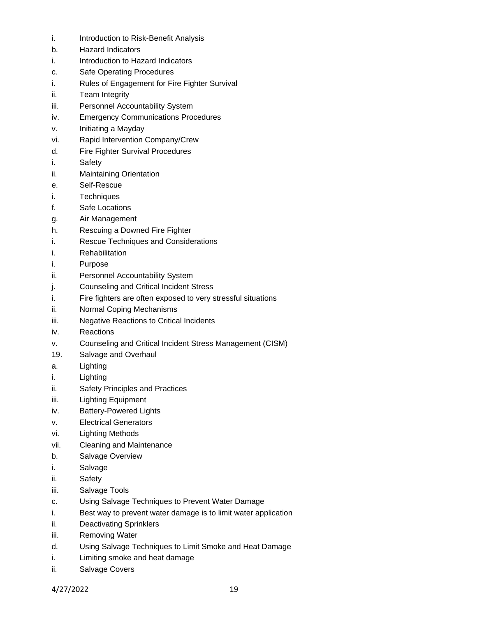- i. Introduction to Risk-Benefit Analysis
- b. Hazard Indicators
- i. Introduction to Hazard Indicators
- c. Safe Operating Procedures
- i. Rules of Engagement for Fire Fighter Survival
- ii. Team Integrity
- iii. Personnel Accountability System
- iv. Emergency Communications Procedures
- v. Initiating a Mayday
- vi. Rapid Intervention Company/Crew
- d. Fire Fighter Survival Procedures
- i. Safety
- ii. Maintaining Orientation
- e. Self-Rescue
- i. Techniques
- f. Safe Locations
- g. Air Management
- h. Rescuing a Downed Fire Fighter
- i. Rescue Techniques and Considerations
- i. Rehabilitation
- i. Purpose
- ii. Personnel Accountability System
- j. Counseling and Critical Incident Stress
- i. Fire fighters are often exposed to very stressful situations
- ii. Normal Coping Mechanisms
- iii. Negative Reactions to Critical Incidents
- iv. Reactions
- v. Counseling and Critical Incident Stress Management (CISM)
- 19. Salvage and Overhaul
- a. Lighting
- i. Lighting
- ii. Safety Principles and Practices
- iii. Lighting Equipment
- iv. Battery-Powered Lights
- v. Electrical Generators
- vi. Lighting Methods
- vii. Cleaning and Maintenance
- b. Salvage Overview
- i. Salvage
- ii. Safety
- iii. Salvage Tools
- c. Using Salvage Techniques to Prevent Water Damage
- i. Best way to prevent water damage is to limit water application
- ii. Deactivating Sprinklers
- iii. Removing Water
- d. Using Salvage Techniques to Limit Smoke and Heat Damage
- i. Limiting smoke and heat damage
- ii. Salvage Covers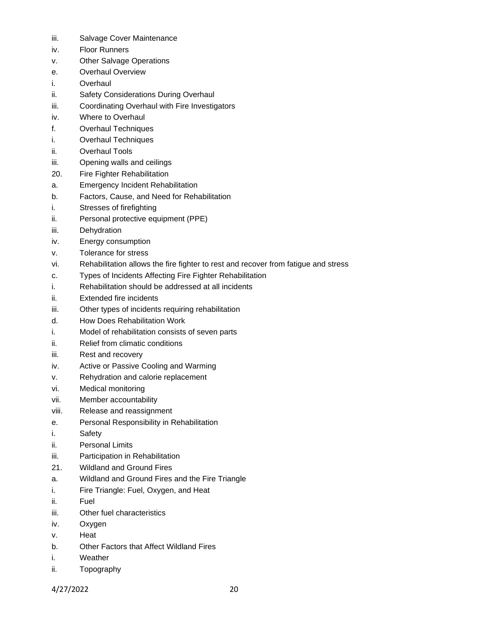- iii. Salvage Cover Maintenance
- iv. Floor Runners
- v. Other Salvage Operations
- e. Overhaul Overview
- i. Overhaul
- ii. Safety Considerations During Overhaul
- iii. Coordinating Overhaul with Fire Investigators
- iv. Where to Overhaul
- f. Overhaul Techniques
- i. Overhaul Techniques
- ii. Overhaul Tools
- iii. Opening walls and ceilings
- 20. Fire Fighter Rehabilitation
- a. Emergency Incident Rehabilitation
- b. Factors, Cause, and Need for Rehabilitation
- i. Stresses of firefighting
- ii. Personal protective equipment (PPE)
- iii. Dehydration
- iv. Energy consumption
- v. Tolerance for stress
- vi. Rehabilitation allows the fire fighter to rest and recover from fatigue and stress
- c. Types of Incidents Affecting Fire Fighter Rehabilitation
- i. Rehabilitation should be addressed at all incidents
- ii. Extended fire incidents
- iii. Other types of incidents requiring rehabilitation
- d. How Does Rehabilitation Work
- i. Model of rehabilitation consists of seven parts
- ii. Relief from climatic conditions
- iii. Rest and recovery
- iv. Active or Passive Cooling and Warming
- v. Rehydration and calorie replacement
- vi. Medical monitoring
- vii. Member accountability
- viii. Release and reassignment
- e. Personal Responsibility in Rehabilitation
- i. Safety
- ii. Personal Limits
- iii. Participation in Rehabilitation
- 21. Wildland and Ground Fires
- a. Wildland and Ground Fires and the Fire Triangle
- i. Fire Triangle: Fuel, Oxygen, and Heat
- ii. Fuel
- iii. Other fuel characteristics
- iv. Oxygen
- v. Heat
- b. Other Factors that Affect Wildland Fires
- i. Weather
- ii. Topography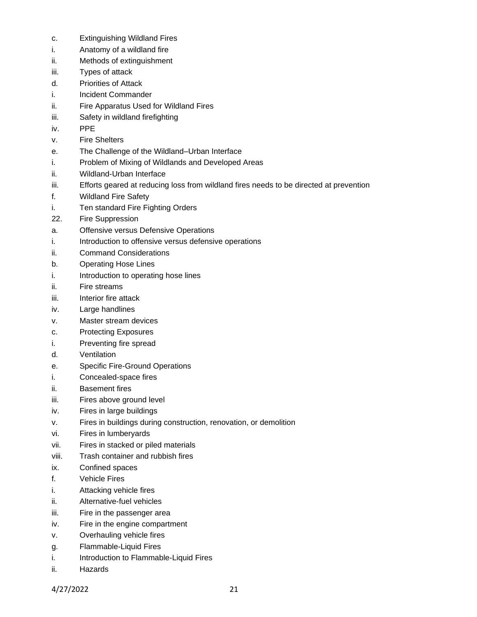- c. Extinguishing Wildland Fires
- i. Anatomy of a wildland fire
- ii. Methods of extinguishment
- iii. Types of attack
- d. Priorities of Attack
- i. Incident Commander
- ii. Fire Apparatus Used for Wildland Fires
- iii. Safety in wildland firefighting
- iv. PPE
- v. Fire Shelters
- e. The Challenge of the Wildland–Urban Interface
- i. Problem of Mixing of Wildlands and Developed Areas
- ii. Wildland-Urban Interface
- iii. Efforts geared at reducing loss from wildland fires needs to be directed at prevention
- f. Wildland Fire Safety
- i. Ten standard Fire Fighting Orders
- 22. Fire Suppression
- a. Offensive versus Defensive Operations
- i. Introduction to offensive versus defensive operations
- ii. Command Considerations
- b. Operating Hose Lines
- i. Introduction to operating hose lines
- ii. Fire streams
- iii. Interior fire attack
- iv. Large handlines
- v. Master stream devices
- c. Protecting Exposures
- i. Preventing fire spread
- d. Ventilation
- e. Specific Fire-Ground Operations
- i. Concealed-space fires
- ii. Basement fires
- iii. Fires above ground level
- iv. Fires in large buildings
- v. Fires in buildings during construction, renovation, or demolition
- vi. Fires in lumberyards
- vii. Fires in stacked or piled materials
- viii. Trash container and rubbish fires
- ix. Confined spaces
- f. Vehicle Fires
- i. Attacking vehicle fires
- ii. Alternative-fuel vehicles
- iii. Fire in the passenger area
- iv. Fire in the engine compartment
- v. Overhauling vehicle fires
- g. Flammable-Liquid Fires
- i. Introduction to Flammable-Liquid Fires
- ii. Hazards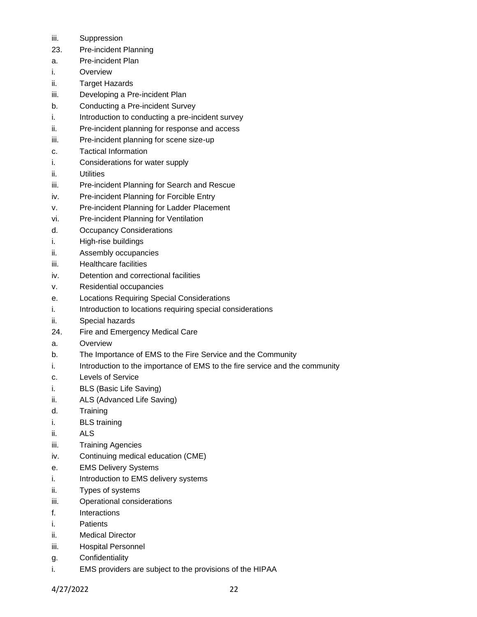- iii. Suppression
- 23. Pre-incident Planning
- a. Pre-incident Plan
- i. Overview
- ii. Target Hazards
- iii. Developing a Pre-incident Plan
- b. Conducting a Pre-incident Survey
- i. Introduction to conducting a pre-incident survey
- ii. Pre-incident planning for response and access
- iii. Pre-incident planning for scene size-up
- c. Tactical Information
- i. Considerations for water supply
- ii. Utilities
- iii. Pre-incident Planning for Search and Rescue
- iv. Pre-incident Planning for Forcible Entry
- v. Pre-incident Planning for Ladder Placement
- vi. Pre-incident Planning for Ventilation
- d. Occupancy Considerations
- i. High-rise buildings
- ii. Assembly occupancies
- iii. Healthcare facilities
- iv. Detention and correctional facilities
- v. Residential occupancies
- e. Locations Requiring Special Considerations
- i. Introduction to locations requiring special considerations
- ii. Special hazards
- 24. Fire and Emergency Medical Care
- a. Overview
- b. The Importance of EMS to the Fire Service and the Community
- i. Introduction to the importance of EMS to the fire service and the community
- c. Levels of Service
- i. BLS (Basic Life Saving)
- ii. ALS (Advanced Life Saving)
- d. Training
- i. BLS training
- ii. ALS
- iii. Training Agencies
- iv. Continuing medical education (CME)
- e. EMS Delivery Systems
- i. Introduction to EMS delivery systems
- ii. Types of systems
- iii. Operational considerations
- f. Interactions
- i. Patients
- ii. Medical Director
- iii. Hospital Personnel
- g. Confidentiality
- i. EMS providers are subject to the provisions of the HIPAA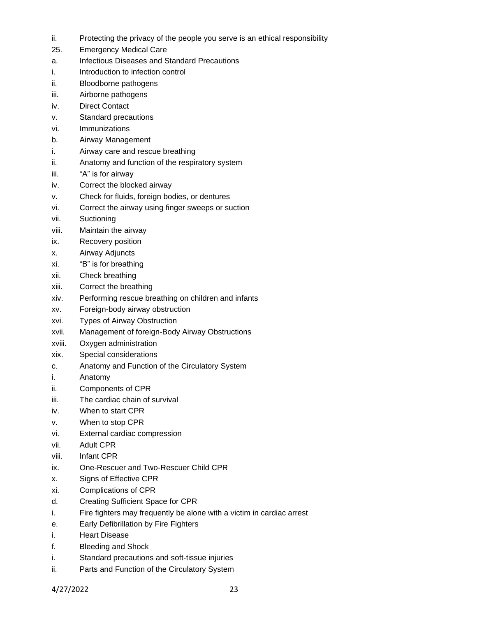- ii. Protecting the privacy of the people you serve is an ethical responsibility
- 25. Emergency Medical Care
- a. Infectious Diseases and Standard Precautions
- i. Introduction to infection control
- ii. Bloodborne pathogens
- iii. Airborne pathogens
- iv. Direct Contact
- v. Standard precautions
- vi. Immunizations
- b. Airway Management
- i. Airway care and rescue breathing
- ii. Anatomy and function of the respiratory system
- iii. "A" is for airway
- iv. Correct the blocked airway
- v. Check for fluids, foreign bodies, or dentures
- vi. Correct the airway using finger sweeps or suction
- vii. Suctioning
- viii. Maintain the airway
- ix. Recovery position
- x. Airway Adjuncts
- xi. "B" is for breathing
- xii. Check breathing
- xiii. Correct the breathing
- xiv. Performing rescue breathing on children and infants
- xv. Foreign-body airway obstruction
- xvi. Types of Airway Obstruction
- xvii. Management of foreign-Body Airway Obstructions
- xviii. Oxygen administration
- xix. Special considerations
- c. Anatomy and Function of the Circulatory System
- i. Anatomy
- ii. Components of CPR
- iii. The cardiac chain of survival
- iv. When to start CPR
- v. When to stop CPR
- vi. External cardiac compression
- vii. Adult CPR
- viii. Infant CPR
- ix. One-Rescuer and Two-Rescuer Child CPR
- x. Signs of Effective CPR
- xi. Complications of CPR
- d. Creating Sufficient Space for CPR
- i. Fire fighters may frequently be alone with a victim in cardiac arrest
- e. Early Defibrillation by Fire Fighters
- i. Heart Disease
- f. Bleeding and Shock
- i. Standard precautions and soft-tissue injuries
- ii. Parts and Function of the Circulatory System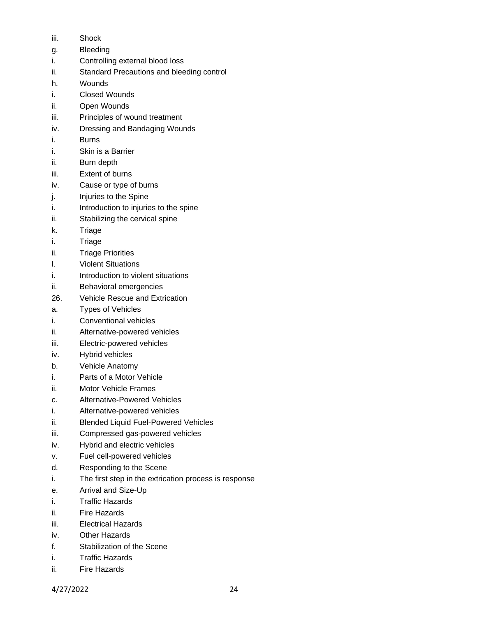- iii. Shock
- g. Bleeding
- i. Controlling external blood loss
- ii. Standard Precautions and bleeding control
- h. Wounds
- i. Closed Wounds
- ii. Open Wounds
- iii. Principles of wound treatment
- iv. Dressing and Bandaging Wounds
- i. Burns
- i. Skin is a Barrier
- ii. Burn depth
- iii. Extent of burns
- iv. Cause or type of burns
- j. Injuries to the Spine
- i. Introduction to injuries to the spine
- ii. Stabilizing the cervical spine
- k. Triage
- i. Triage
- ii. Triage Priorities
- l. Violent Situations
- i. Introduction to violent situations
- ii. Behavioral emergencies
- 26. Vehicle Rescue and Extrication
- a. Types of Vehicles
- i. Conventional vehicles
- ii. Alternative-powered vehicles
- iii. Electric-powered vehicles
- iv. Hybrid vehicles
- b. Vehicle Anatomy
- i. Parts of a Motor Vehicle
- ii. Motor Vehicle Frames
- c. Alternative-Powered Vehicles
- i. Alternative-powered vehicles
- ii. Blended Liquid Fuel-Powered Vehicles
- iii. Compressed gas-powered vehicles
- iv. Hybrid and electric vehicles
- v. Fuel cell-powered vehicles
- d. Responding to the Scene
- i. The first step in the extrication process is response
- e. Arrival and Size-Up
- i. Traffic Hazards
- ii. Fire Hazards
- iii. Electrical Hazards
- iv. Other Hazards
- f. Stabilization of the Scene
- i. Traffic Hazards
- ii. Fire Hazards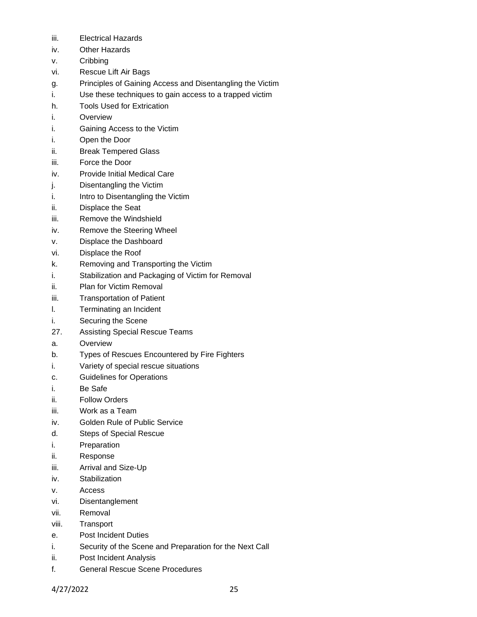- iii. Electrical Hazards
- iv. Other Hazards
- v. Cribbing
- vi. Rescue Lift Air Bags
- g. Principles of Gaining Access and Disentangling the Victim
- i. Use these techniques to gain access to a trapped victim
- h. Tools Used for Extrication
- i. Overview
- i. Gaining Access to the Victim
- i. Open the Door
- ii. Break Tempered Glass
- iii. Force the Door
- iv. Provide Initial Medical Care
- j. Disentangling the Victim
- i. Intro to Disentangling the Victim
- ii. Displace the Seat
- iii. Remove the Windshield
- iv. Remove the Steering Wheel
- v. Displace the Dashboard
- vi. Displace the Roof
- k. Removing and Transporting the Victim
- i. Stabilization and Packaging of Victim for Removal
- ii. Plan for Victim Removal
- iii. Transportation of Patient
- l. Terminating an Incident
- i. Securing the Scene
- 27. Assisting Special Rescue Teams
- a. Overview
- b. Types of Rescues Encountered by Fire Fighters
- i. Variety of special rescue situations
- c. Guidelines for Operations
- i. Be Safe
- ii. Follow Orders
- iii. Work as a Team
- iv. Golden Rule of Public Service
- d. Steps of Special Rescue
- i. Preparation
- ii. Response
- iii. Arrival and Size-Up
- iv. Stabilization
- v. Access
- vi. Disentanglement
- vii. Removal
- viii. Transport
- e. Post Incident Duties
- i. Security of the Scene and Preparation for the Next Call
- ii. Post Incident Analysis
- f. General Rescue Scene Procedures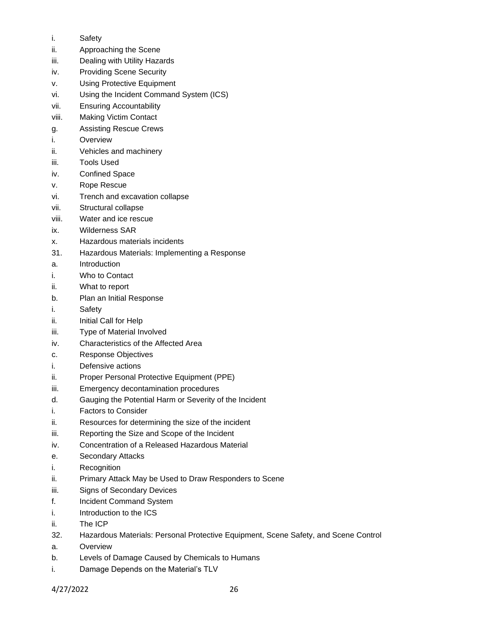- i. Safety
- ii. Approaching the Scene
- iii. Dealing with Utility Hazards
- iv. Providing Scene Security
- v. Using Protective Equipment
- vi. Using the Incident Command System (ICS)
- vii. Ensuring Accountability
- viii. Making Victim Contact
- g. Assisting Rescue Crews
- i. Overview
- ii. Vehicles and machinery
- iii. Tools Used
- iv. Confined Space
- v. Rope Rescue
- vi. Trench and excavation collapse
- vii. Structural collapse
- viii. Water and ice rescue
- ix. Wilderness SAR
- x. Hazardous materials incidents
- 31. Hazardous Materials: Implementing a Response
- a. Introduction
- i. Who to Contact
- ii. What to report
- b. Plan an Initial Response
- i. Safety
- ii. Initial Call for Help
- iii. Type of Material Involved
- iv. Characteristics of the Affected Area
- c. Response Objectives
- i. Defensive actions
- ii. Proper Personal Protective Equipment (PPE)
- iii. Emergency decontamination procedures
- d. Gauging the Potential Harm or Severity of the Incident
- i. Factors to Consider
- ii. Resources for determining the size of the incident
- iii. Reporting the Size and Scope of the Incident
- iv. Concentration of a Released Hazardous Material
- e. Secondary Attacks
- i. Recognition
- ii. Primary Attack May be Used to Draw Responders to Scene
- iii. Signs of Secondary Devices
- f. Incident Command System
- i. Introduction to the ICS
- ii. The ICP
- 32. Hazardous Materials: Personal Protective Equipment, Scene Safety, and Scene Control
- a. Overview
- b. Levels of Damage Caused by Chemicals to Humans
- i. Damage Depends on the Material's TLV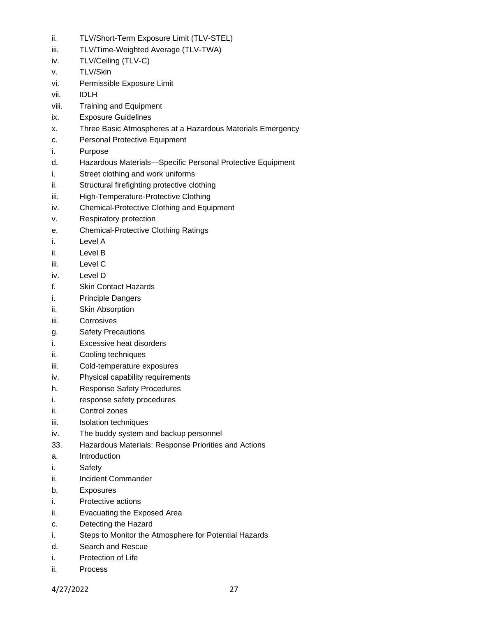- ii. TLV/Short-Term Exposure Limit (TLV-STEL)
- iii. TLV/Time-Weighted Average (TLV-TWA)
- iv. TLV/Ceiling (TLV-C)
- v. TLV/Skin
- vi. Permissible Exposure Limit
- vii. IDLH
- viii. Training and Equipment
- ix. Exposure Guidelines
- x. Three Basic Atmospheres at a Hazardous Materials Emergency
- c. Personal Protective Equipment
- i. Purpose
- d. Hazardous Materials—Specific Personal Protective Equipment
- i. Street clothing and work uniforms
- ii. Structural firefighting protective clothing
- iii. High-Temperature-Protective Clothing
- iv. Chemical-Protective Clothing and Equipment
- v. Respiratory protection
- e. Chemical-Protective Clothing Ratings
- i. Level A
- ii. Level B
- iii. Level C
- iv. Level D
- f. Skin Contact Hazards
- i. Principle Dangers
- ii. Skin Absorption
- iii. Corrosives
- g. Safety Precautions
- i. Excessive heat disorders
- ii. Cooling techniques
- iii. Cold-temperature exposures
- iv. Physical capability requirements
- h. Response Safety Procedures
- i. response safety procedures
- ii. Control zones
- iii. Isolation techniques
- iv. The buddy system and backup personnel
- 33. Hazardous Materials: Response Priorities and Actions
- a. Introduction
- i. Safety
- ii. Incident Commander
- b. Exposures
- i. Protective actions
- ii. Evacuating the Exposed Area
- c. Detecting the Hazard
- i. Steps to Monitor the Atmosphere for Potential Hazards
- d. Search and Rescue
- i. Protection of Life
- ii. Process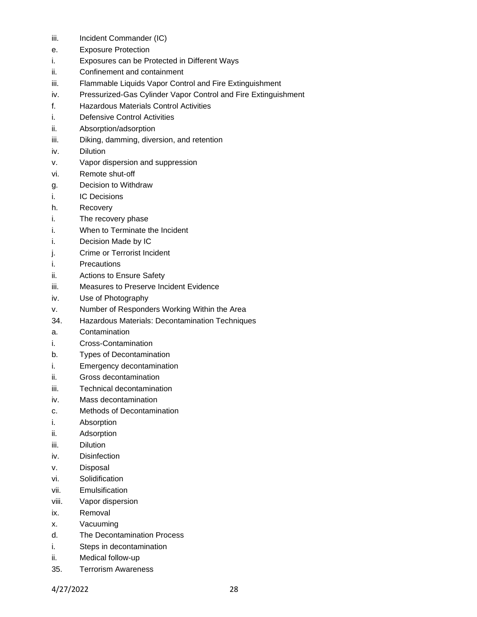- iii. Incident Commander (IC)
- e. Exposure Protection
- i. Exposures can be Protected in Different Ways
- ii. Confinement and containment
- iii. Flammable Liquids Vapor Control and Fire Extinguishment
- iv. Pressurized-Gas Cylinder Vapor Control and Fire Extinguishment
- f. Hazardous Materials Control Activities
- i. Defensive Control Activities
- ii. Absorption/adsorption
- iii. Diking, damming, diversion, and retention
- iv. Dilution
- v. Vapor dispersion and suppression
- vi. Remote shut-off
- g. Decision to Withdraw
- i. IC Decisions
- h. Recovery
- i. The recovery phase
- i. When to Terminate the Incident
- i. Decision Made by IC
- j. Crime or Terrorist Incident
- i. Precautions
- ii. Actions to Ensure Safety
- iii. Measures to Preserve Incident Evidence
- iv. Use of Photography
- v. Number of Responders Working Within the Area
- 34. Hazardous Materials: Decontamination Techniques
- a. Contamination
- i. Cross-Contamination
- b. Types of Decontamination
- i. Emergency decontamination
- ii. Gross decontamination
- iii. Technical decontamination
- iv. Mass decontamination
- c. Methods of Decontamination
- i. Absorption
- ii. Adsorption
- iii. Dilution
- iv. Disinfection
- v. Disposal
- vi. Solidification
- vii. Emulsification
- viii. Vapor dispersion
- ix. Removal
- x. Vacuuming
- d. The Decontamination Process
- i. Steps in decontamination
- ii. Medical follow-up
- 35. Terrorism Awareness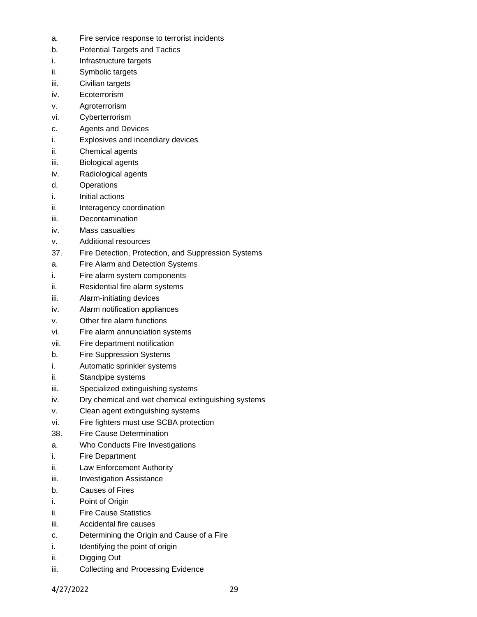- a. Fire service response to terrorist incidents
- b. Potential Targets and Tactics
- i. Infrastructure targets
- ii. Symbolic targets
- iii. Civilian targets
- iv. Ecoterrorism
- v. Agroterrorism
- vi. Cyberterrorism
- c. Agents and Devices
- i. Explosives and incendiary devices
- ii. Chemical agents
- iii. Biological agents
- iv. Radiological agents
- d. Operations
- i. Initial actions
- ii. Interagency coordination
- iii. Decontamination
- iv. Mass casualties
- v. Additional resources
- 37. Fire Detection, Protection, and Suppression Systems
- a. Fire Alarm and Detection Systems
- i. Fire alarm system components
- ii. Residential fire alarm systems
- iii. Alarm-initiating devices
- iv. Alarm notification appliances
- v. Other fire alarm functions
- vi. Fire alarm annunciation systems
- vii. Fire department notification
- b. Fire Suppression Systems
- i. Automatic sprinkler systems
- ii. Standpipe systems
- iii. Specialized extinguishing systems
- iv. Dry chemical and wet chemical extinguishing systems
- v. Clean agent extinguishing systems
- vi. Fire fighters must use SCBA protection
- 38. Fire Cause Determination
- a. Who Conducts Fire Investigations
- i. Fire Department
- ii. Law Enforcement Authority
- iii. Investigation Assistance
- b. Causes of Fires
- i. Point of Origin
- ii. Fire Cause Statistics
- iii. Accidental fire causes
- c. Determining the Origin and Cause of a Fire
- i. Identifying the point of origin
- ii. Digging Out
- iii. Collecting and Processing Evidence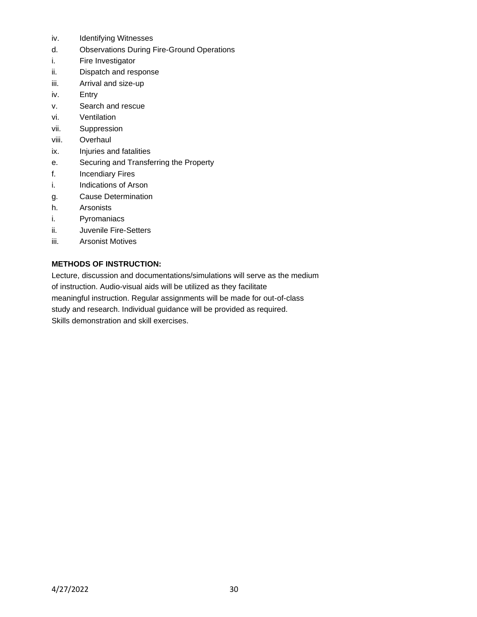- iv. Identifying Witnesses
- d. Observations During Fire-Ground Operations
- i. Fire Investigator
- ii. Dispatch and response
- iii. Arrival and size-up
- iv. Entry
- v. Search and rescue
- vi. Ventilation
- vii. Suppression
- viii. Overhaul
- ix. Injuries and fatalities
- e. Securing and Transferring the Property
- f. Incendiary Fires
- i. Indications of Arson
- g. Cause Determination
- h. Arsonists
- i. Pyromaniacs
- ii. Juvenile Fire-Setters
- iii. Arsonist Motives

## **METHODS OF INSTRUCTION:**

Lecture, discussion and documentations/simulations will serve as the medium of instruction. Audio-visual aids will be utilized as they facilitate meaningful instruction. Regular assignments will be made for out-of-class study and research. Individual guidance will be provided as required. Skills demonstration and skill exercises.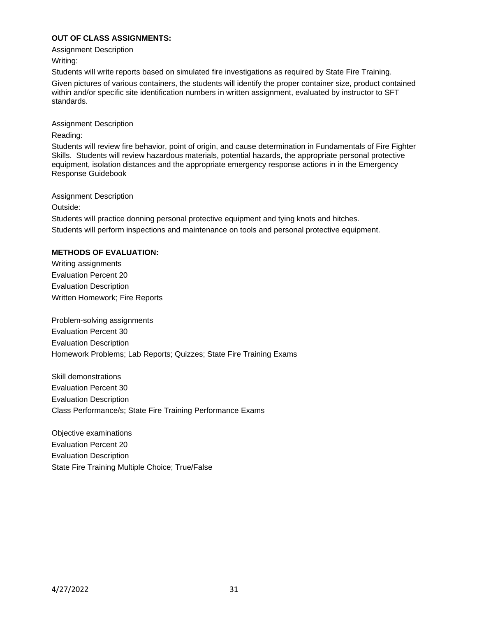# **OUT OF CLASS ASSIGNMENTS:**

Assignment Description

Writing:

Students will write reports based on simulated fire investigations as required by State Fire Training. Given pictures of various containers, the students will identify the proper container size, product contained within and/or specific site identification numbers in written assignment, evaluated by instructor to SFT standards.

Assignment Description

Reading:

Students will review fire behavior, point of origin, and cause determination in Fundamentals of Fire Fighter Skills. Students will review hazardous materials, potential hazards, the appropriate personal protective equipment, isolation distances and the appropriate emergency response actions in in the Emergency Response Guidebook

Assignment Description

Outside:

Students will practice donning personal protective equipment and tying knots and hitches. Students will perform inspections and maintenance on tools and personal protective equipment.

# **METHODS OF EVALUATION:**

Writing assignments Evaluation Percent 20 Evaluation Description Written Homework; Fire Reports

Problem-solving assignments Evaluation Percent 30 Evaluation Description Homework Problems; Lab Reports; Quizzes; State Fire Training Exams

Skill demonstrations Evaluation Percent 30 Evaluation Description Class Performance/s; State Fire Training Performance Exams

Objective examinations Evaluation Percent 20 Evaluation Description State Fire Training Multiple Choice; True/False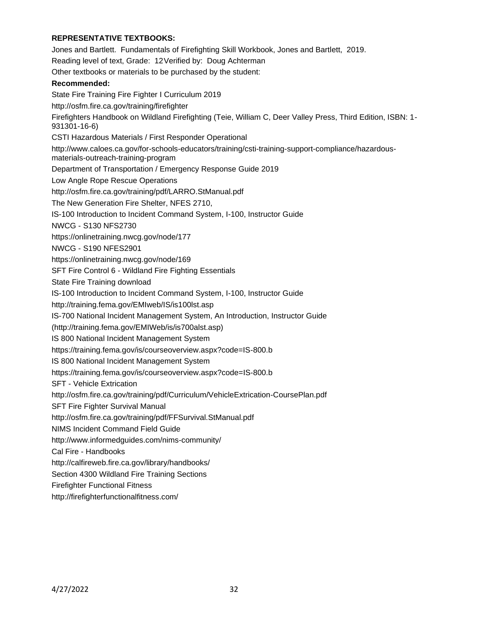## **REPRESENTATIVE TEXTBOOKS:**

Jones and Bartlett. Fundamentals of Firefighting Skill Workbook, Jones and Bartlett, 2019. Reading level of text, Grade: 12Verified by: Doug Achterman Other textbooks or materials to be purchased by the student: **Recommended:** State Fire Training Fire Fighter I Curriculum 2019 http://osfm.fire.ca.gov/training/firefighter Firefighters Handbook on Wildland Firefighting (Teie, William C, Deer Valley Press, Third Edition, ISBN: 1- 931301-16-6) CSTI Hazardous Materials / First Responder Operational http://www.caloes.ca.gov/for-schools-educators/training/csti-training-support-compliance/hazardousmaterials-outreach-training-program Department of Transportation / Emergency Response Guide 2019 Low Angle Rope Rescue Operations http://osfm.fire.ca.gov/training/pdf/LARRO.StManual.pdf The New Generation Fire Shelter, NFES 2710, IS-100 Introduction to Incident Command System, I-100, Instructor Guide NWCG - S130 NFS2730 https://onlinetraining.nwcg.gov/node/177 NWCG - S190 NFES2901 https://onlinetraining.nwcg.gov/node/169 SFT Fire Control 6 - Wildland Fire Fighting Essentials State Fire Training download IS-100 Introduction to Incident Command System, I-100, Instructor Guide http://training.fema.gov/EMIweb/IS/is100lst.asp IS-700 National Incident Management System, An Introduction, Instructor Guide (http://training.fema.gov/EMIWeb/is/is700alst.asp) IS 800 National Incident Management System https://training.fema.gov/is/courseoverview.aspx?code=IS-800.b IS 800 National Incident Management System https://training.fema.gov/is/courseoverview.aspx?code=IS-800.b SFT - Vehicle Extrication http://osfm.fire.ca.gov/training/pdf/Curriculum/VehicleExtrication-CoursePlan.pdf SFT Fire Fighter Survival Manual http://osfm.fire.ca.gov/training/pdf/FFSurvival.StManual.pdf NIMS Incident Command Field Guide http://www.informedguides.com/nims-community/ Cal Fire - Handbooks http://calfireweb.fire.ca.gov/library/handbooks/ Section 4300 Wildland Fire Training Sections Firefighter Functional Fitness

http://firefighterfunctionalfitness.com/